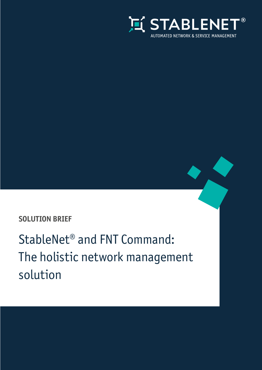

### **SOLUTION BRIEF**

StableNet® and FNT Command: The holistic network management solution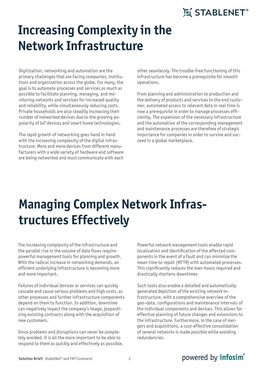# **Increasing Complexity in the Network Infrastructure**

Digitization, networking and automation are the primary challenges that are facing companies, institutions and organization across the globe. For many, the goal is to automate processes and services as much as possible to facilitate planning, managing, and monitoring networks and services for increased quality and reliability, while simultaneously reducing costs. Private households are also steadily increasing their number of networked devices due to the growing popularity of IoT devices and smart home technologies.

The rapid growth of networking goes hand in hand with the increasing complexity of the digital infrastructure. More and more devices from different manufacturers with a wide variety of hardware and software are being networked and must communicate with each

other seamlessly. The trouble-free functioning of this infrastructure has become a prerequisite for smooth operations.

From planning and administration to production and the delivery of products and services to the end customer, automated access to relevant data in real time is now a prerequisite in order to manage processes efficiently. The expansion of the necessary infrastructure and the automation of the corresponding management and maintenance processes are therefore of strategic importance for companies in order to survive and succeed in a global marketplace.

# **Managing Complex Network Infrastructures Effectively**

The increasing complexity of the infrastructure and the parallel rise in the volume of data flows require powerful management tools for planning and growth. With the radical increase in networking demands, an efficient underlying infrastructure is becoming more and more important.

Failures of individual devices or services can quickly cascade and cause serious problems and high costs, as other processes and further infrastructure components depend on them to function. In addition, downtime can negatively impact the company's image, jeopardizing existing contracts along with the acquisition of new customers.

Since problems and disruptions can never be completely avoided, it is all the more important to be able to respond to them as quickly and effectively as possible. Powerful network management tools enable rapid localization and identification of the affected components in the event of a fault and can minimize the mean time to repair (MTTR) with automated processes. This significantly reduces the man-hours required and drastically shortens downtimes

Such tools also enable a detailed and automatically generated depiction of the existing network infrastructure, with a comprehensive overview of the geo-data, configurations and maintenance intervals of the individual components and devices. This allows for effective planning of future changes and extensions to the infrastructure. Furthermore, in the case of mergers and acquisitions, a cost-effective consolidation of several networks is made possible while avoiding redundancies.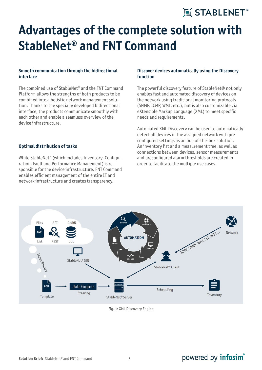# **Advantages of the complete solution with StableNet® and FNT Command**

### **Smooth communication through the bidirectional interface**

The combined use of StableNet® and the FNT Command Platform allows the strengths of both products to be combined into a holistic network management solution. Thanks to the specially developed bidirectional interface, the products communicate smoothly with each other and enable a seamless overview of the device infrastructure.

#### **Optimal distribution of tasks**

While StableNet® (which includes Inventory, Configuration, Fault and Performance Management) is responsible for the device infrastructure, FNT Command enables efficient management of the entire IT and network infrastructure and creates transparency.

### **Discover devices automatically using the Discovery function**

The powerful discovery feature of StableNet® not only enables fast and automated discovery of devices on the network using traditional monitoring protocols (SNMP, ICMP, WMI, etc.), but is also customizable via eXtensible Markup Language (XML) to meet specific needs and requirements.

Automated XML Discovery can be used to automatically detect all devices in the assigned network with preconfigured settings as an out-of-the-box solution. An inventory list and a measurement tree, as well as connections between devices, sensor measurements and preconfigured alarm thresholds are created in order to facilitate the multiple use cases.



Fig. 1: XML Discovery Engine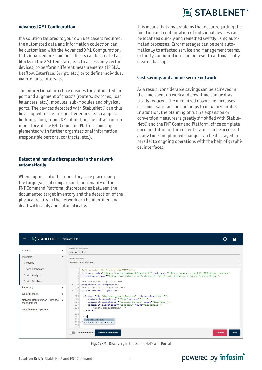### **Advanced XML Configuration**

If a solution tailored to your own use case is required, the automated data and information collection can be customized with the Advanced XML Configuration. Individualized pre- and post-filters can be created as blocks in the XML template, e.g. to access only certain devices, to perform different measurements (IP SLA, Netflow, Interface, Script, etc.) or to define individual maintenance intervals.

The bidirectional interface ensures the automated import and alignment of chassis (routers, switches, load balancers, etc.), modules, sub-modules and physical ports. The devices detected with StableNet® can thus be assigned to their respective zones (e.g. campus, building, floor, room, DP cabinet) in the infrastructure repository of the FNT Command Platform and supplemented with further organizational information (responsible persons, contracts, etc.).

### **Detect and handle discrepancies in the network automatically**

When imports into the repository take place using the target/actual comparison functionality of the FNT Command Platform, discrepancies between the documented target inventory and the detection of the physical reality in the network can be identified and dealt with easily and automatically.

This means that any problems that occur regarding the function and configuration of individual devices can be localized quickly and remedied swiftly using automated processes. Error messages can be sent automatically to affected service and management teams, or faulty configurations can be reset to automatically created backups.

#### **Cost savings and a more secure network**

As a result, considerable savings can be achieved in the time spent on work and downtime can be drastically reduced. The minimized downtime increases customer satisfaction and helps to maximize profits. In addition, the planning of future expansion or conversion measures is greatly simplified with Stable-Net® and the FNT Command Platform, since complete documentation of the current status can be accessed at any time and planned changes can be displayed in parallel to ongoing operations with the help of graphical interfaces.

| I STABLENET <sup>®</sup> Template Editor<br>$\equiv$    | д                                                                                                                                                                                                                                                                                                                         |
|---------------------------------------------------------|---------------------------------------------------------------------------------------------------------------------------------------------------------------------------------------------------------------------------------------------------------------------------------------------------------------------------|
| Agents                                                  | Select a Template type<br>٠<br><b>Discovery Files</b>                                                                                                                                                                                                                                                                     |
| Inventory<br>Overview                                   | $\overline{\mathbf{v}}$<br>Select a Template<br>discover_routerlab.xml                                                                                                                                                                                                                                                    |
| Device Dashboard<br><b>Device Analyzer</b>              | 1 xml version="1.0" encoding="UTF-8"?<br>2 <discover <br="" xmlns="http://www.infosim.net/autoconf/" xmlns:xsi="http://www.w3.org/2001/XMLSchema-instance">3 xsi:schemaLocation="http://www.infosim.net/autoconf/ http://xml.infosim.net/schema/autoconf.xsd"&gt;</discover>                                              |
| Device Geo Map<br>Reporting                             | 5 Discovery Properties<br>6 <properties>&lt;&gt;</properties><br>116 Automeasure Properties<br>Þ<br>* 117 <properties>&lt;&gt;</properties>                                                                                                                                                                               |
| <b>Weather Maps</b><br>Network Configuration & Change ▶ | 223<br>٠<br>$-224$<br><device file="discover routerlab.csv" fileencoding="UTF-8"><br/><tagimport column="city" tagcategory="City"></tagimport><br/>225</device>                                                                                                                                                           |
| Management<br><b>Template Management</b>                | <tagimport tagcategory="UseCase Device" value="Inventory"></tagimport><br>226<br>227<br><tagimport tagcategory="Category" value="Routerlab"></tagimport><br>228<br>Create measurements<br>229<br>$\langle$ device><br>230<br>231<br>$\langle$ in<br>232<br><inputs></inputs><br>233 < I<br><interface></interface><br>234 |
|                                                         | <b>Validate Template</b><br>Auto-validation<br><b>Discard</b><br><b>Save</b>                                                                                                                                                                                                                                              |

Fig. 2: XML Discovery in the StableNet® Web Portal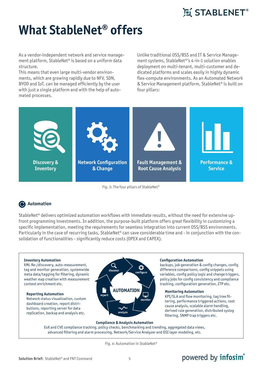# **What StableNet® offers**

As a vendor-independent network and service management platform, StableNet® is based on a uniform data structure.

This means that even large multi-vendor environments, which are growing rapidly due to NFV, SDN, BYOD and IoT, can be managed efficiently by the user with just a single platform and with the help of automated processes.

Unlike traditional OSS/BSS and IT & Service Management systems, StableNet®'s 4-in-1 solution enables deployment on multi-tenant, multi-customer and dedicated platforms and scales easily in highly dynamic flex-compute environments. As an Automated Network & Service Management platform, StableNet® is built on four pillars:



Fig. 3: The four pillars of StableNet®

### **Automation**

StableNet® delivers optimized automation workflows with immediate results, without the need for extensive upfront programming investments. In addition, the purpose-built platform offers great flexibility in customizing a specific implementation, meeting the requirements for seamless integration into current OSS/BSS environments. Particularly in the case of recurring tasks, StableNet® can save considerable time and - in conjunction with the consolidation of functionalities - significantly reduce costs (OPEX and CAPEX).

#### **Inventory Automation**

XML Re-/discovery, auto-measurement, tag and monitor generation, systemwide meta data/tagging for filtering, dynamic weather map creation with measurement context enrichment etc.

**Reporting Automation**  Network status visualization, custom dashboard creation, report distributions, reporting server for data replication, backup and analysis etc.



#### **Compliance & Analysis Automation**

EoX and CVE compliance tracking, policy checks, benchmarking and trending, aggregated data views, advanced filtering and alarm processing, Network/Service Analyzer and OSI layer modeling, etc.

Fig. 4: Automation in StableNet®

### powered by **infosim**<sup>®</sup>

**Monitoring Automation** 

filtering, SNMP trap triggers etc.

KPI/SLA and flow monitoring, tag tree filtering, performance triggered actions, root cause analysis, scalable alarm handling, derived rule generation, distributed syslog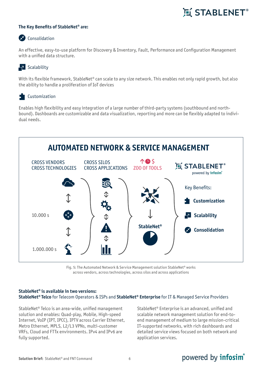### **The Key Benefits of StableNet® are:**

### Consolidation

An effective, easy-to-use platform for Discovery & Inventory, Fault, Performance and Configuration Management with a unified data structure.

### $\blacksquare$  Scalability

With its flexible framework, StableNet® can scale to any size network. This enables not only rapid growth, but also the ability to handle a proliferation of IoT devices

### Customization

Enables high flexibility and easy integration of a large number of third-party systems (southbound and northbound). Dashboards are customizable and data visualization, reporting and more can be flexibly adapted to individual needs.



Fig. 5: The Automated Network & Service Management solution StableNet® works across vendors, across technologies, across silos and across applications

#### **StableNet® is available in two versions: StableNet® Telco** for Telecom Operators & ISPs and **StableNet® Enterprise** for IT & Managed Service Providers

StableNet® Telco is an area-wide, unified management solution and enables: Quad-play, Mobile, High-speed Internet, VoIP (IPT, IPCC), IPTV across Carrier Ethernet, Metro Ethernet, MPLS, L2/L3 VPNs, multi-customer VRFs, Cloud and FTTx environments. IPv4 and IPv6 are fully supported.

StableNet® Enterprise is an advanced, unified and scalable network management solution for end-toend management of medium to large mission-critical IT-supported networks, with rich dashboards and detailed service views focused on both network and application services.

#### **Solution Brief:** StableNet<sup>®</sup> and FNT Command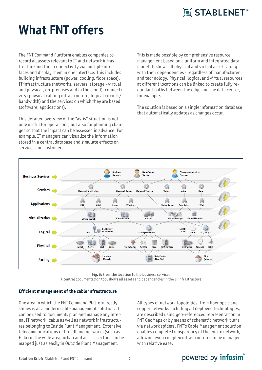

# **What FNT offers**

The FNT Command Platform enables companies to record all assets relevant to IT and network infrastructure and their connectivity via multiple interfaces and display them in one interface. This includes building infrastructure (power, cooling, floor space), IT infrastructure (networks, servers, storage - virtual and physical, on-premises and in the cloud), connectivity (physical cabling infrastructure, logical circuits/ bandwidth) and the services on which they are based (software, applications).

This detailed overview of the "as-is" situation is not only useful for operations, but also for planning changes so that the impact can be assessed in advance. For example, IT managers can visualize the information stored in a central database and simulate effects on services and customers.

This is made possible by comprehensive resource management based on a uniform and integrated data model. It shows all physical and virtual assets along with their dependencies - regardless of manufacturer and technology. Physical, logical and virtual resources at different locations can be linked to create fully redundant paths between the edge and the data center, for example.

The solution is based on a single information database that automatically updates as changes occur.



Fig. 6: From the location to the business service:

A central documentation tool shows all assets and dependencies in the IT infrastructure

### **Efficient management of the cable infrastructure**

One area in which the FNT Command Platform really shines is as a modern cable management solution. It can be used to document, plan and manage any internal IT network, cable as well as network infrastructures belonging to Inside Plant Management. Extensive telecommunications or broadband networks (such as FTTx) in the wide area, urban and access sectors can be mapped just as easily in Outside Plant Management.

All types of network topologies, from fiber optic and copper networks including all deployed technologies, are described using geo-referenced representation in FNT GeoMaps or by means of schematic network plans via network spiders. FNT's Cable Management solution enables complete transparency of the entire network, allowing even complex infrastructures to be managed with relative ease.

#### **Solution Brief:** StableNet<sup>®</sup> and FNT Command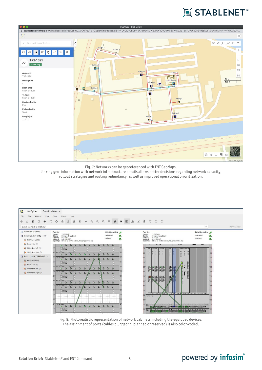# **互 STABLENET**®



Fig. 7: Networks can be georeferenced with FNT GeoMaps.

Linking geo-information with network infrastructure details allows better decisions regarding network capacity, rollout strategies and routing redundancy, as well as improved operational prioritization.



Fig. 8: Photorealistic representation of network cabinets including the equipped devices. The assignment of ports (cables plugged in, planned or reserved) is also color-coded.

#### **Solution Brief:** StableNet<sup>®</sup> and FNT Command 8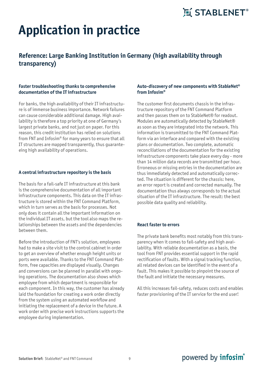# **Application in practice**

### **Reference: Large Banking Institution in Germany (high availability through transparency)**

### **Faster troubleshooting thanks to comprehensive documentation of the IT infrastructure**

For banks, the high availability of their IT infrastructure is of immense business importance. Network failures can cause considerable additional damage. High availability is therefore a top priority at one of Germany's largest private banks, and not just on paper. For this reason, this credit institution has relied on solutions from FNT and Infosim® for many years to ensure that all IT structures are mapped transparently, thus guaranteeing high availability of operations.

#### **A central infrastructure repository is the basis**

The basis for a fail-safe IT infrastructure at this bank is the comprehensive documentation of all important infrastructure components. This data on the IT infrastructure is stored within the FNT Command Platform, which in turn serves as the basis for processes. Not only does it contain all the important information on the individual IT assets, but the tool also maps the relationships between the assets and the dependencies between them.

Before the introduction of FNT's solution, employees had to make a site visit to the control cabinet in order to get an overview of whether enough height units or ports were available. Thanks to the FNT Command Platform, free capacities are displayed visually. Changes and conversions can be planned in parallel with ongoing operations. The documentation also shows which employee from which department is responsible for each component. In this way, the customer has already laid the foundation for creating a work order directly from the system using an automated workflow and initiating the replacement of a device in the future. A work order with precise work instructions supports the employee during implementation.

### **Auto-discovery of new components with StableNet® from Infosim®**

The customer first documents chassis in the infrastructure repository of the FNT Command Platform and then passes them on to StableNet® for readout. Modules are automatically detected by StableNet® as soon as they are integrated into the network. This information is transmitted to the FNT Command Platform via an interface and compared with the existing plans or documentation. Two complete, automatic reconciliations of the documentation for the existing infrastructure components take place every day - more than 14 million data records are transmitted per hour. Erroneous or missing entries in the documentation are thus immediately detected and automatically corrected. The situation is different for the chassis: here, an error report is created and corrected manually. The documentation thus always corresponds to the actual situation of the IT infrastructure. The result: the best possible data quality and reliability.

### **React faster to errors**

The private bank benefits most notably from this transparency when it comes to fail-safety and high availability. With reliable documentation as a basis, the tool from FNT provides essential support in the rapid rectification of faults. With a signal tracking function, all related devices can be identified in the event of a fault. This makes it possible to pinpoint the source of the fault and initiate the necessary measures.

All this increases fail-safety, reduces costs and enables faster provisioning of the IT service for the end user!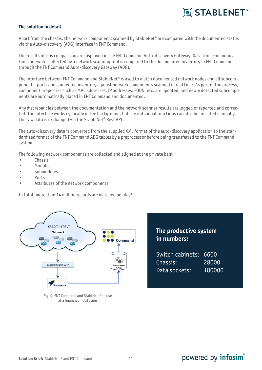### **The solution in detail**

Apart from the chassis, the network components scanned by StableNet<sup>®</sup> are compared with the documented status via the Auto-discovery (ADG) interface in FNT Command.

The results of this comparison are displayed in the FNT Command Auto-discovery Gateway. Data from communications networks collected by a network scanning tool is compared to the documented inventory in FNT Command through the FNT Command Auto-discovery Gateway (ADG).

The interface between FNT Command and StableNet<sup>®</sup> is used to match documented network nodes and all subcomponents, ports and connected inventory against network components scanned in real time. As part of the process, component properties such as MAC addresses, IP addresses, FQDN, etc. are updated, and newly detected subcomponents are automatically placed in FNT Command and documented.

Any discrepancies between the documentation and the network scanner results are logged or reported and corrected. The interface works cyclically in the background, but the individual functions can also be initiated manually. The raw data is exchanged via the StableNet® Rest API.

The auto-discovery data is converted from the supplied XML format of the auto-discovery application to the standardized format of the FNT Command ADG tables by a preprocessor before being transferred to the FNT Command system.

The following network components are collected and aligned at the private bank:

- **Chassis**
- Modules
- Submodules
- Ports
- Attributes of the network components

In total, more than 14 million records are matched per day!



Fig. 9: FNT Command and StableNet® in use at a financial institution

### **The productive system in numbers:**

| Switch cabinets: 6600 |        |
|-----------------------|--------|
| Chassis:              | 28000  |
| Data sockets:         | 180000 |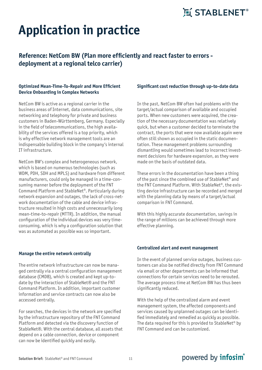# **Application in practice**

### **Reference: NetCom BW (Plan more efficiently and react faster to errors deployment at a regional telco carrier)**

### **Optimized Mean-Time-To-Repair and More Efficient Device Onboarding in Complex Networks**

NetCom BW is active as a regional carrier in the business areas of Internet, data communications, site networking and telephony for private and business customers in Baden-Württemberg, Germany. Especially in the field of telecommunications, the high availability of the services offered is a top priority, which is why effective network management tools are an indispensable building block in the company's internal IT infrastructure.

NetCom BW's complex and heterogeneous network, which is based on numerous technologies (such as WDM, PDH, SDH and MPLS) and hardware from different manufacturers, could only be managed in a time-consuming manner before the deployment of the FNT Command Platform and StableNet®. Particularly during network expansion and outages, the lack of cross-network documentation of the cable and device infrastructure resulted in high costs and unnecessarily long mean-time-to-repair (MTTR). In addition, the manual configuration of the individual devices was very timeconsuming, which is why a configuration solution that was as automated as possible was so important.

#### **Manage the entire network centrally**

The entire network infrastructure can now be managed centrally via a central configuration management database (CMDB), which is created and kept up-todate by the interaction of StableNet® and the FNT Command Platform. In addition, important customer information and service contracts can now also be accessed centrally.

For searches, the devices in the network are specified by the infrastructure repository of the FNT Command Platform and detected via the discovery function of StableNet®. With the central database, all assets that depend on a cable connection, device or component can now be identified quickly and easily.

#### **Significant cost reduction through up-to-date data**

In the past, NetCom BW often had problems with the target/actual comparison of available and occupied ports. When new customers were acquired, the creation of the necessary documentation was relatively quick, but when a customer decided to terminate the contract, the ports that were now available again were often still shown as occupied in the static documentation. These management problems surrounding dismantling would sometimes lead to incorrect investment decisions for hardware expansion, as they were made on the basis of outdated data.

These errors in the documentation have been a thing of the past since the combined use of StableNet® and the FNT Command Platform. With StableNet®, the existing device infrastructure can be recorded and merged with the planning data by means of a target/actual comparison in FNT Command.

With this highly accurate documentation, savings in the range of millions can be achieved through more effective planning.

#### **Centralized alert and event management**

In the event of planned service outages, business customers can also be notified directly from FNT Command via email or other departments can be informed that connections for certain services need to be rerouted. The average process time at NetCom BW has thus been significantly reduced.

With the help of the centralized alarm and event management system, the affected components and services caused by unplanned outages can be identified immediately and remedied as quickly as possible. The data required for this is provided to StableNet® by FNT Command and can be customized.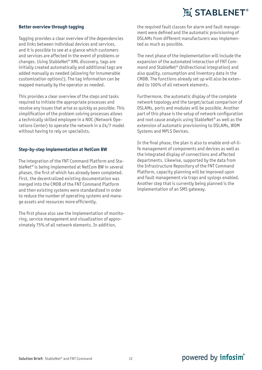### **Better overview through tagging**

Tagging provides a clear overview of the dependencies and links between individual devices and services, and it is possible to see at a glance which customers and services are affected in the event of problems or changes. Using StableNet® XML discovery, tags are initially created automatically and additional tags are added manually as needed (allowing for innumerable customization options!). The tag information can be mapped manually by the operator as needed.

This provides a clear overview of the steps and tasks required to initiate the appropriate processes and resolve any issues that arise as quickly as possible. This simplification of the problem solving processes allows a technically skilled employee in a NOC (Network Operations Center) to operate the network in a 24/7 model without having to rely on specialists.

#### **Step-by-step implementation at NetCom BW**

The integration of the FNT Command Platform and StableNet® is being implemented at NetCom BW in several phases, the first of which has already been completed. First, the decentralized existing documentation was merged into the CMDB of the FNT Command Platform and then existing systems were standardized in order to reduce the number of operating systems and manage assets and resources more efficiently.

The first phase also saw the implementation of monitoring, service management and visualization of approximately 75% of all network elements. In addition,

the required fault classes for alarm and fault management were defined and the automatic provisioning of DSLAMs from different manufacturers was implemented as much as possible.

The next phase of the implementation will include the expansion of the automated interaction of FNT Command and StableNet® (bidirectional integration) and also quality, consumption and inventory data in the CMDB. The functions already set up will also be extended to 100% of all network elements.

Furthermore, the automatic display of the complete network topology and the target/actual comparison of DSLAMs, ports and modules will be possible. Another part of this phase is the setup of network configuration and root cause analysis using StableNet® as well as the extension of automatic provisioning to DSLAMs, WDM Systems and MPLS Devices.

In the final phase, the plan is also to enable end-of-life management of components and devices as well as the integrated display of connections and affected departments. Likewise, supported by the data from the Infrastructure Repository of the FNT Command Platform, capacity planning will be improved upon and fault management via traps and syslogs enabled. Another step that is currently being planned is the implementation of an SMS gateway.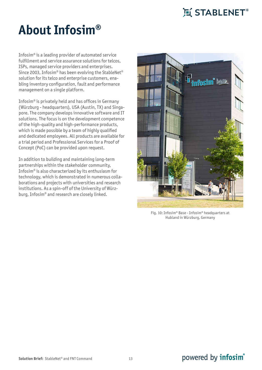# **About Infosim®**

Infosim® is a leading provider of automated service fulfillment and service assurance solutions for telcos, ISPs, managed service providers and enterprises. Since 2003, Infosim® has been evolving the StableNet® solution for its telco and enterprise customers, enabling inventory configuration, fault and performance management on a single platform.

Infosim® is privately held and has offices in Germany (Würzburg - headquarters), USA (Austin, TX) and Singapore. The company develops innovative software and IT solutions. The focus is on the development competence of the high-quality and high-performance products, which is made possible by a team of highly qualified and dedicated employees. All products are available for a trial period and Professional Services for a Proof of Concept (PoC) can be provided upon request.

In addition to building and maintaining long-term partnerships within the stakeholder community, Infosim® is also characterized by its enthusiasm for technology, which is demonstrated in numerous collaborations and projects with universities and research institutions. As a spin-off of the University of Würzburg, Infosim® and research are closely linked.



Fig. 10: Infosim® Base - Infosim® headquarters at Hubland in Würzburg, Germany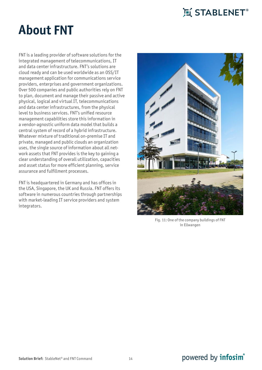# **About FNT**

FNT is a leading provider of software solutions for the integrated management of telecommunications, IT and data center infrastructure. FNT's solutions are cloud ready and can be used worldwide as an OSS/IT management application for communications service providers, enterprises and government organizations. Over 500 companies and public authorities rely on FNT to plan, document and manage their passive and active physical, logical and virtual IT, telecommunications and data center infrastructures, from the physical level to business services. FNT's unified resource management capabilities store this information in a vendor-agnostic uniform data model that builds a central system of record of a hybrid infrastructure. Whatever mixture of traditional on-premise IT and private, managed and public clouds an organization uses, the single source of information about all network assets that FNT provides is the key to gaining a clear understanding of overall utilization, capacities and asset status for more efficient planning, service assurance and fulfillment processes.

FNT is headquartered in Germany and has offices in the USA, Singapore, the UK and Russia. FNT offers its software in numerous countries through partnerships with market-leading IT service providers and system integrators.



Fig. 11: One of the company buildings of FNT in Ellwangen